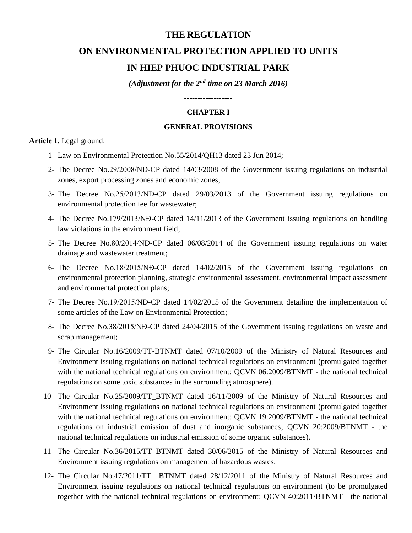# **THE REGULATION**

# **ON ENVIRONMENTAL PROTECTION APPLIED TO UNITS IN HIEP PHUOC INDUSTRIAL PARK**

*(Adjustment for the 2nd time on 23 March 2016)*

------------------

#### **CHAPTER I**

#### **GENERAL PROVISIONS**

**Article 1.** Legal ground:

- 1- Law on Environmental Protection No.55/2014/QH13 dated 23 Jun 2014;
- 2- The Decree No.29/2008/NĐ-CP dated 14/03/2008 of the Government issuing regulations on industrial zones, export processing zones and economic zones;
- 3- The Decree No.25/2013/NĐ-CP dated 29/03/2013 of the Government issuing regulations on environmental protection fee for wastewater;
- 4- The Decree No.179/2013/NĐ-CP dated 14/11/2013 of the Government issuing regulations on handling law violations in the environment field;
- 5- The Decree No.80/2014/NĐ-CP dated 06/08/2014 of the Government issuing regulations on water drainage and wastewater treatment;
- 6- The Decree No.18/2015/NĐ-CP dated 14/02/2015 of the Government issuing regulations on environmental protection planning, strategic environmental assessment, environmental impact assessment and environmental protection plans;
- 7- The Decree No.19/2015/NĐ-CP dated 14/02/2015 of the Government detailing the implementation of some articles of the Law on Environmental Protection;
- 8- The Decree No.38/2015/NĐ-CP dated 24/04/2015 of the Government issuing regulations on waste and scrap management;
- 9- The Circular No.16/2009/TT-BTNMT dated 07/10/2009 of the Ministry of Natural Resources and Environment issuing regulations on national technical regulations on environment (promulgated together with the national technical regulations on environment: QCVN 06:2009/BTNMT - the national technical regulations on some toxic substances in the surrounding atmosphere).
- 10- The Circular No.25/2009/TT\_BTNMT dated 16/11/2009 of the Ministry of Natural Resources and Environment issuing regulations on national technical regulations on environment (promulgated together with the national technical regulations on environment: QCVN 19:2009/BTNMT - the national technical regulations on industrial emission of dust and inorganic substances; QCVN 20:2009/BTNMT - the national technical regulations on industrial emission of some organic substances).
- 11- The Circular No.36/2015/TT BTNMT dated 30/06/2015 of the Ministry of Natural Resources and Environment issuing regulations on management of hazardous wastes;
- 12- The Circular No.47/2011/TT\_\_BTNMT dated 28/12/2011 of the Ministry of Natural Resources and Environment issuing regulations on national technical regulations on environment (to be promulgated together with the national technical regulations on environment: QCVN 40:2011/BTNMT - the national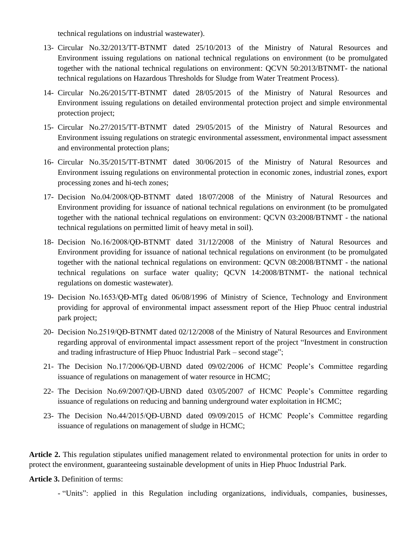technical regulations on industrial wastewater).

- 13- Circular No.32/2013/TT-BTNMT dated 25/10/2013 of the Ministry of Natural Resources and Environment issuing regulations on national technical regulations on environment (to be promulgated together with the national technical regulations on environment: QCVN 50:2013/BTNMT- the national technical regulations on Hazardous Thresholds for Sludge from Water Treatment Process).
- 14- Circular No.26/2015/TT-BTNMT dated 28/05/2015 of the Ministry of Natural Resources and Environment issuing regulations on detailed environmental protection project and simple environmental protection project;
- 15- Circular No.27/2015/TT-BTNMT dated 29/05/2015 of the Ministry of Natural Resources and Environment issuing regulations on strategic environmental assessment, environmental impact assessment and environmental protection plans;
- 16- Circular No.35/2015/TT-BTNMT dated 30/06/2015 of the Ministry of Natural Resources and Environment issuing regulations on environmental protection in economic zones, industrial zones, export processing zones and hi-tech zones;
- 17- Decision No.04/2008/QĐ-BTNMT dated 18/07/2008 of the Ministry of Natural Resources and Environment providing for issuance of national technical regulations on environment (to be promulgated together with the national technical regulations on environment: QCVN 03:2008/BTNMT - the national technical regulations on permitted limit of heavy metal in soil).
- 18- Decision No.16/2008/QĐ-BTNMT dated 31/12/2008 of the Ministry of Natural Resources and Environment providing for issuance of national technical regulations on environment (to be promulgated together with the national technical regulations on environment: QCVN 08:2008/BTNMT - the national technical regulations on surface water quality; QCVN 14:2008/BTNMT- the national technical regulations on domestic wastewater).
- 19- Decision No.1653/QĐ-MTg dated 06/08/1996 of Ministry of Science, Technology and Environment providing for approval of environmental impact assessment report of the Hiep Phuoc central industrial park project;
- 20- Decision No.2519/QĐ-BTNMT dated 02/12/2008 of the Ministry of Natural Resources and Environment regarding approval of environmental impact assessment report of the project "Investment in construction and trading infrastructure of Hiep Phuoc Industrial Park – second stage";
- 21- The Decision No.17/2006/QĐ-UBND dated 09/02/2006 of HCMC People's Committee regarding issuance of regulations on management of water resource in HCMC;
- 22- The Decision No.69/2007/QĐ-UBND dated 03/05/2007 of HCMC People's Committee regarding issuance of regulations on reducing and banning underground water exploitation in HCMC;
- 23- The Decision No.44/2015/QĐ-UBND dated 09/09/2015 of HCMC People's Committee regarding issuance of regulations on management of sludge in HCMC;

**Article 2.** This regulation stipulates unified management related to environmental protection for units in order to protect the environment, guaranteeing sustainable development of units in Hiep Phuoc Industrial Park.

**Article 3.** Definition of terms:

- "Units": applied in this Regulation including organizations, individuals, companies, businesses,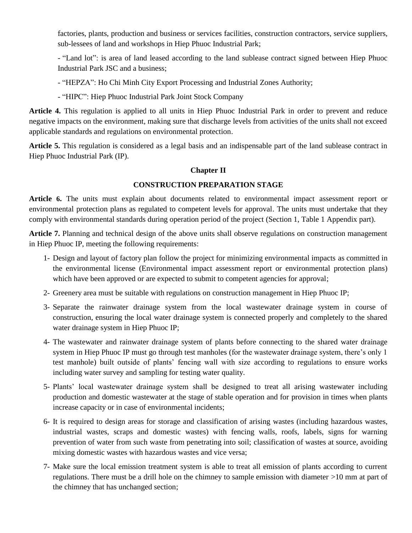factories, plants, production and business or services facilities, construction contractors, service suppliers, sub-lessees of land and workshops in Hiep Phuoc Industrial Park;

- "Land lot": is area of land leased according to the land sublease contract signed between Hiep Phuoc Industrial Park JSC and a business;

- "HEPZA": Ho Chi Minh City Export Processing and Industrial Zones Authority;
- "HIPC": Hiep Phuoc Industrial Park Joint Stock Company

**Article 4.** This regulation is applied to all units in Hiep Phuoc Industrial Park in order to prevent and reduce negative impacts on the environment, making sure that discharge levels from activities of the units shall not exceed applicable standards and regulations on environmental protection.

**Article 5.** This regulation is considered as a legal basis and an indispensable part of the land sublease contract in Hiep Phuoc Industrial Park (IP).

#### **Chapter II**

# **CONSTRUCTION PREPARATION STAGE**

**Article 6.** The units must explain about documents related to environmental impact assessment report or environmental protection plans as regulated to competent levels for approval. The units must undertake that they comply with environmental standards during operation period of the project (Section 1, Table 1 Appendix part).

**Article 7.** Planning and technical design of the above units shall observe regulations on construction management in Hiep Phuoc IP, meeting the following requirements:

- 1- Design and layout of factory plan follow the project for minimizing environmental impacts as committed in the environmental license (Environmental impact assessment report or environmental protection plans) which have been approved or are expected to submit to competent agencies for approval;
- 2- Greenery area must be suitable with regulations on construction management in Hiep Phuoc IP;
- 3- Separate the rainwater drainage system from the local wastewater drainage system in course of construction, ensuring the local water drainage system is connected properly and completely to the shared water drainage system in Hiep Phuoc IP;
- 4- The wastewater and rainwater drainage system of plants before connecting to the shared water drainage system in Hiep Phuoc IP must go through test manholes (for the wastewater drainage system, there's only 1 test manhole) built outside of plants' fencing wall with size according to regulations to ensure works including water survey and sampling for testing water quality.
- 5- Plants' local wastewater drainage system shall be designed to treat all arising wastewater including production and domestic wastewater at the stage of stable operation and for provision in times when plants increase capacity or in case of environmental incidents;
- 6- It is required to design areas for storage and classification of arising wastes (including hazardous wastes, industrial wastes, scraps and domestic wastes) with fencing walls, roofs, labels, signs for warning prevention of water from such waste from penetrating into soil; classification of wastes at source, avoiding mixing domestic wastes with hazardous wastes and vice versa;
- 7- Make sure the local emission treatment system is able to treat all emission of plants according to current regulations. There must be a drill hole on the chimney to sample emission with diameter >10 mm at part of the chimney that has unchanged section;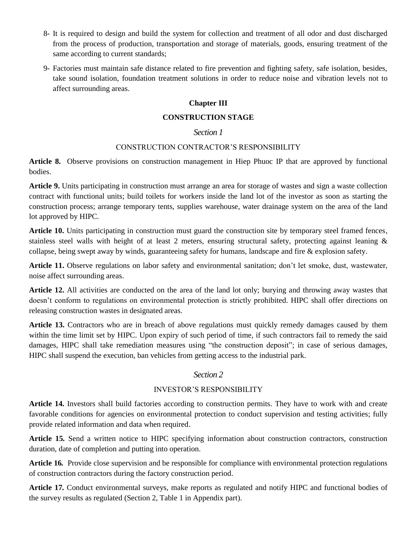- 8- It is required to design and build the system for collection and treatment of all odor and dust discharged from the process of production, transportation and storage of materials, goods, ensuring treatment of the same according to current standards;
- 9- Factories must maintain safe distance related to fire prevention and fighting safety, safe isolation, besides, take sound isolation, foundation treatment solutions in order to reduce noise and vibration levels not to affect surrounding areas.

#### **Chapter III**

#### **CONSTRUCTION STAGE**

#### *Section 1*

#### CONSTRUCTION CONTRACTOR'S RESPONSIBILITY

**Article 8.** Observe provisions on construction management in Hiep Phuoc IP that are approved by functional bodies.

**Article 9.** Units participating in construction must arrange an area for storage of wastes and sign a waste collection contract with functional units; build toilets for workers inside the land lot of the investor as soon as starting the construction process; arrange temporary tents, supplies warehouse, water drainage system on the area of the land lot approved by HIPC.

**Article 10.** Units participating in construction must guard the construction site by temporary steel framed fences, stainless steel walls with height of at least 2 meters, ensuring structural safety, protecting against leaning  $\&$ collapse, being swept away by winds, guaranteeing safety for humans, landscape and fire & explosion safety.

**Article 11.** Observe regulations on labor safety and environmental sanitation; don't let smoke, dust, wastewater, noise affect surrounding areas.

**Article 12.** All activities are conducted on the area of the land lot only; burying and throwing away wastes that doesn't conform to regulations on environmental protection is strictly prohibited. HIPC shall offer directions on releasing construction wastes in designated areas.

**Article 13.** Contractors who are in breach of above regulations must quickly remedy damages caused by them within the time limit set by HIPC. Upon expiry of such period of time, if such contractors fail to remedy the said damages, HIPC shall take remediation measures using "the construction deposit"; in case of serious damages, HIPC shall suspend the execution, ban vehicles from getting access to the industrial park.

# *Section 2*

### INVESTOR'S RESPONSIBILITY

**Article 14.** Investors shall build factories according to construction permits. They have to work with and create favorable conditions for agencies on environmental protection to conduct supervision and testing activities; fully provide related information and data when required.

**Article 15***.* Send a written notice to HIPC specifying information about construction contractors, construction duration, date of completion and putting into operation.

**Article 16***.* Provide close supervision and be responsible for compliance with environmental protection regulations of construction contractors during the factory construction period.

**Article 17***.* Conduct environmental surveys, make reports as regulated and notify HIPC and functional bodies of the survey results as regulated (Section 2, Table 1 in Appendix part).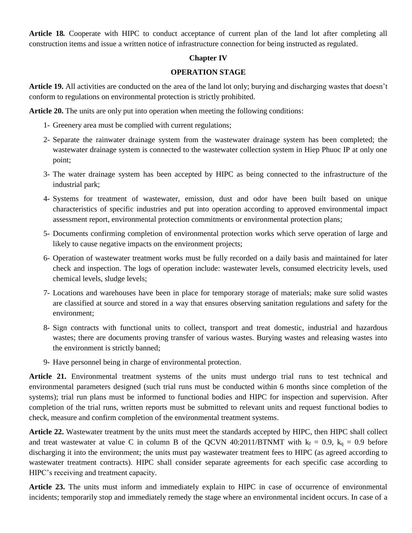**Article 18***.* Cooperate with HIPC to conduct acceptance of current plan of the land lot after completing all construction items and issue a written notice of infrastructure connection for being instructed as regulated.

#### **Chapter IV**

#### **OPERATION STAGE**

**Article 19.** All activities are conducted on the area of the land lot only; burying and discharging wastes that doesn't conform to regulations on environmental protection is strictly prohibited.

**Article 20.** The units are only put into operation when meeting the following conditions:

- 1- Greenery area must be complied with current regulations;
- 2- Separate the rainwater drainage system from the wastewater drainage system has been completed; the wastewater drainage system is connected to the wastewater collection system in Hiep Phuoc IP at only one point;
- 3- The water drainage system has been accepted by HIPC as being connected to the infrastructure of the industrial park;
- 4- Systems for treatment of wastewater, emission, dust and odor have been built based on unique characteristics of specific industries and put into operation according to approved environmental impact assessment report, environmental protection commitments or environmental protection plans;
- 5- Documents confirming completion of environmental protection works which serve operation of large and likely to cause negative impacts on the environment projects;
- 6- Operation of wastewater treatment works must be fully recorded on a daily basis and maintained for later check and inspection. The logs of operation include: wastewater levels, consumed electricity levels, used chemical levels, sludge levels;
- 7- Locations and warehouses have been in place for temporary storage of materials; make sure solid wastes are classified at source and stored in a way that ensures observing sanitation regulations and safety for the environment;
- 8- Sign contracts with functional units to collect, transport and treat domestic, industrial and hazardous wastes; there are documents proving transfer of various wastes. Burying wastes and releasing wastes into the environment is strictly banned;
- 9- Have personnel being in charge of environmental protection.

**Article 21.** Environmental treatment systems of the units must undergo trial runs to test technical and environmental parameters designed (such trial runs must be conducted within 6 months since completion of the systems); trial run plans must be informed to functional bodies and HIPC for inspection and supervision. After completion of the trial runs, written reports must be submitted to relevant units and request functional bodies to check, measure and confirm completion of the environmental treatment systems.

**Article 22.** Wastewater treatment by the units must meet the standards accepted by HIPC, then HIPC shall collect and treat wastewater at value C in column B of the QCVN 40:2011/BTNMT with  $k_f = 0.9$ ,  $k_q = 0.9$  before discharging it into the environment; the units must pay wastewater treatment fees to HIPC (as agreed according to wastewater treatment contracts). HIPC shall consider separate agreements for each specific case according to HIPC's receiving and treatment capacity.

**Article 23.** The units must inform and immediately explain to HIPC in case of occurrence of environmental incidents; temporarily stop and immediately remedy the stage where an environmental incident occurs. In case of a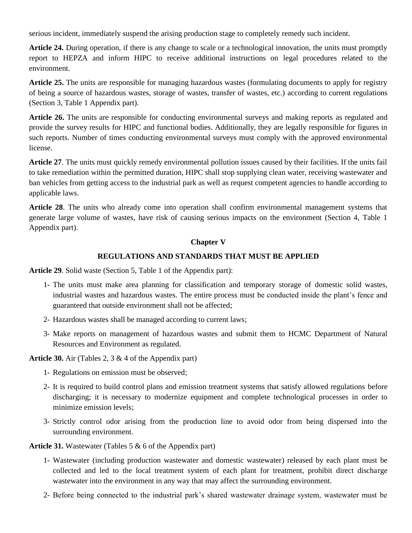serious incident, immediately suspend the arising production stage to completely remedy such incident.

**Article 24.** During operation, if there is any change to scale or a technological innovation, the units must promptly report to HEPZA and inform HIPC to receive additional instructions on legal procedures related to the environment.

**Article 25.** The units are responsible for managing hazardous wastes (formulating documents to apply for registry of being a source of hazardous wastes, storage of wastes, transfer of wastes, etc.) according to current regulations (Section 3, Table 1 Appendix part).

**Article 26.** The units are responsible for conducting environmental surveys and making reports as regulated and provide the survey results for HIPC and functional bodies. Additionally, they are legally responsible for figures in such reports. Number of times conducting environmental surveys must comply with the approved environmental license.

**Article 27**. The units must quickly remedy environmental pollution issues caused by their facilities. If the units fail to take remediation within the permitted duration, HIPC shall stop supplying clean water, receiving wastewater and ban vehicles from getting access to the industrial park as well as request competent agencies to handle according to applicable laws.

**Article 28**. The units who already come into operation shall confirm environmental management systems that generate large volume of wastes, have risk of causing serious impacts on the environment (Section 4, Table 1 Appendix part).

# **Chapter V**

# **REGULATIONS AND STANDARDS THAT MUST BE APPLIED**

**Article 29**. Solid waste (Section 5, Table 1 of the Appendix part):

- 1- The units must make area planning for classification and temporary storage of domestic solid wastes, industrial wastes and hazardous wastes. The entire process must be conducted inside the plant's fence and guaranteed that outside environment shall not be affected;
- 2- Hazardous wastes shall be managed according to current laws;
- 3- Make reports on management of hazardous wastes and submit them to HCMC Department of Natural Resources and Environment as regulated.

**Article 30.** Air (Tables 2, 3 & 4 of the Appendix part)

- 1- Regulations on emission must be observed;
- 2- It is required to build control plans and emission treatment systems that satisfy allowed regulations before discharging; it is necessary to modernize equipment and complete technological processes in order to minimize emission levels;
- 3- Strictly control odor arising from the production line to avoid odor from being dispersed into the surrounding environment.

**Article 31.** Wastewater (Tables 5 & 6 of the Appendix part)

- 1- Wastewater (including production wastewater and domestic wastewater) released by each plant must be collected and led to the local treatment system of each plant for treatment, prohibit direct discharge wastewater into the environment in any way that may affect the surrounding environment.
- 2- Before being connected to the industrial park's shared wastewater drainage system, wastewater must be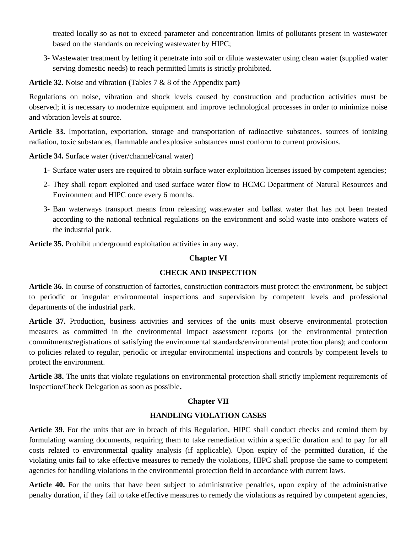treated locally so as not to exceed parameter and concentration limits of pollutants present in wastewater based on the standards on receiving wastewater by HIPC;

3- Wastewater treatment by letting it penetrate into soil or dilute wastewater using clean water (supplied water serving domestic needs) to reach permitted limits is strictly prohibited.

**Article 32.** Noise and vibration **(**Tables 7 & 8 of the Appendix part**)**

Regulations on noise, vibration and shock levels caused by construction and production activities must be observed; it is necessary to modernize equipment and improve technological processes in order to minimize noise and vibration levels at source.

**Article 33.** Importation, exportation, storage and transportation of radioactive substances, sources of ionizing radiation, toxic substances, flammable and explosive substances must conform to current provisions.

**Article 34.** Surface water (river/channel/canal water)

- 1- Surface water users are required to obtain surface water exploitation licenses issued by competent agencies;
- 2- They shall report exploited and used surface water flow to HCMC Department of Natural Resources and Environment and HIPC once every 6 months.
- 3- Ban waterways transport means from releasing wastewater and ballast water that has not been treated according to the national technical regulations on the environment and solid waste into onshore waters of the industrial park.

**Article 35.** Prohibit underground exploitation activities in any way.

#### **Chapter VI**

#### **CHECK AND INSPECTION**

**Article 36**. In course of construction of factories, construction contractors must protect the environment, be subject to periodic or irregular environmental inspections and supervision by competent levels and professional departments of the industrial park.

**Article 37.** Production, business activities and services of the units must observe environmental protection measures as committed in the environmental impact assessment reports (or the environmental protection commitments/registrations of satisfying the environmental standards/environmental protection plans); and conform to policies related to regular, periodic or irregular environmental inspections and controls by competent levels to protect the environment.

**Article 38.** The units that violate regulations on environmental protection shall strictly implement requirements of Inspection/Check Delegation as soon as possible**.**

#### **Chapter VII**

#### **HANDLING VIOLATION CASES**

**Article 39.** For the units that are in breach of this Regulation, HIPC shall conduct checks and remind them by formulating warning documents, requiring them to take remediation within a specific duration and to pay for all costs related to environmental quality analysis (if applicable). Upon expiry of the permitted duration, if the violating units fail to take effective measures to remedy the violations, HIPC shall propose the same to competent agencies for handling violations in the environmental protection field in accordance with current laws.

**Article 40.** For the units that have been subject to administrative penalties, upon expiry of the administrative penalty duration, if they fail to take effective measures to remedy the violations as required by competent agencies,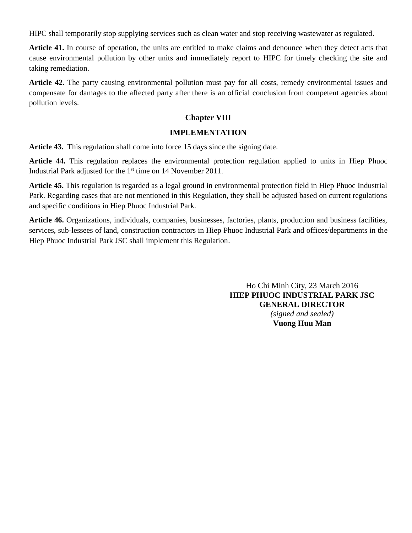HIPC shall temporarily stop supplying services such as clean water and stop receiving wastewater as regulated.

**Article 41.** In course of operation, the units are entitled to make claims and denounce when they detect acts that cause environmental pollution by other units and immediately report to HIPC for timely checking the site and taking remediation.

**Article 42.** The party causing environmental pollution must pay for all costs, remedy environmental issues and compensate for damages to the affected party after there is an official conclusion from competent agencies about pollution levels.

## **Chapter VIII**

#### **IMPLEMENTATION**

**Article 43.** This regulation shall come into force 15 days since the signing date.

**Article 44.** This regulation replaces the environmental protection regulation applied to units in Hiep Phuoc Industrial Park adjusted for the 1<sup>st</sup> time on 14 November 2011.

**Article 45.** This regulation is regarded as a legal ground in environmental protection field in Hiep Phuoc Industrial Park. Regarding cases that are not mentioned in this Regulation, they shall be adjusted based on current regulations and specific conditions in Hiep Phuoc Industrial Park.

**Article 46.** Organizations, individuals, companies, businesses, factories, plants, production and business facilities, services, sub-lessees of land, construction contractors in Hiep Phuoc Industrial Park and offices/departments in the Hiep Phuoc Industrial Park JSC shall implement this Regulation.

> Ho Chi Minh City, 23 March 2016 **HIEP PHUOC INDUSTRIAL PARK JSC GENERAL DIRECTOR** *(signed and sealed)* **Vuong Huu Man**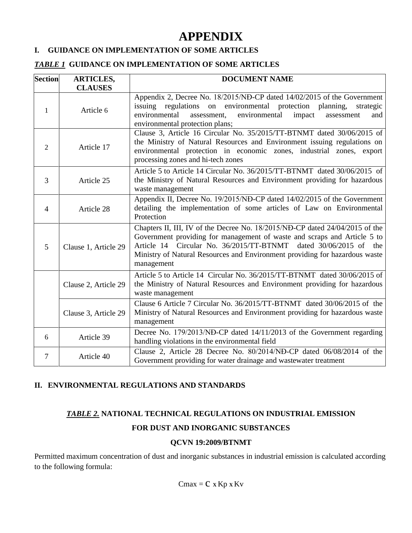# **APPENDIX**

#### **I. GUIDANCE ON IMPLEMENTATION OF SOME ARTICLES**

#### *TABLE 1* **GUIDANCE ON IMPLEMENTATION OF SOME ARTICLES**

| <b>Section</b> | <b>ARTICLES,</b>     | <b>DOCUMENT NAME</b>                                                                                                                                                                                                                                                                                                         |  |  |
|----------------|----------------------|------------------------------------------------------------------------------------------------------------------------------------------------------------------------------------------------------------------------------------------------------------------------------------------------------------------------------|--|--|
|                | <b>CLAUSES</b>       |                                                                                                                                                                                                                                                                                                                              |  |  |
| 1              | Article 6            | Appendix 2, Decree No. 18/2015/NĐ-CP dated 14/02/2015 of the Government<br>issuing regulations on environmental protection<br>planning,<br>strategic<br>environmental<br>assessment,<br>environmental<br>impact<br>assessment<br>and<br>environmental protection plans;                                                      |  |  |
| $\overline{2}$ | Article 17           | Clause 3, Article 16 Circular No. 35/2015/TT-BTNMT dated 30/06/2015 of<br>the Ministry of Natural Resources and Environment issuing regulations on<br>environmental protection in economic zones, industrial zones, export<br>processing zones and hi-tech zones                                                             |  |  |
| 3              | Article 25           | Article 5 to Article 14 Circular No. 36/2015/TT-BTNMT dated 30/06/2015 of<br>the Ministry of Natural Resources and Environment providing for hazardous<br>waste management                                                                                                                                                   |  |  |
| $\overline{4}$ | Article 28           | Appendix II, Decree No. 19/2015/NĐ-CP dated 14/02/2015 of the Government<br>detailing the implementation of some articles of Law on Environmental<br>Protection                                                                                                                                                              |  |  |
| 5              | Clause 1, Article 29 | Chapters II, III, IV of the Decree No. 18/2015/NĐ-CP dated 24/04/2015 of the<br>Government providing for management of waste and scraps and Article 5 to<br>Article 14 Circular No. 36/2015/TT-BTNMT<br>dated 30/06/2015 of the<br>Ministry of Natural Resources and Environment providing for hazardous waste<br>management |  |  |
|                | Clause 2, Article 29 | Article 5 to Article 14 Circular No. 36/2015/TT-BTNMT dated 30/06/2015 of<br>the Ministry of Natural Resources and Environment providing for hazardous<br>waste management                                                                                                                                                   |  |  |
|                | Clause 3, Article 29 | Clause 6 Article 7 Circular No. 36/2015/TT-BTNMT dated 30/06/2015 of the<br>Ministry of Natural Resources and Environment providing for hazardous waste<br>management                                                                                                                                                        |  |  |
| 6              | Article 39           | Decree No. 179/2013/NĐ-CP dated 14/11/2013 of the Government regarding<br>handling violations in the environmental field                                                                                                                                                                                                     |  |  |
| $\overline{7}$ | Article 40           | Clause 2, Article 28 Decree No. 80/2014/NĐ-CP dated 06/08/2014 of the<br>Government providing for water drainage and wastewater treatment                                                                                                                                                                                    |  |  |

# **II. ENVIRONMENTAL REGULATIONS AND STANDARDS**

# *TABLE 2.* **NATIONAL TECHNICAL REGULATIONS ON INDUSTRIAL EMISSION**

# **FOR DUST AND INORGANIC SUBSTANCES**

#### **QCVN 19:2009/BTNMT**

Permitted maximum concentration of dust and inorganic substances in industrial emission is calculated according to the following formula: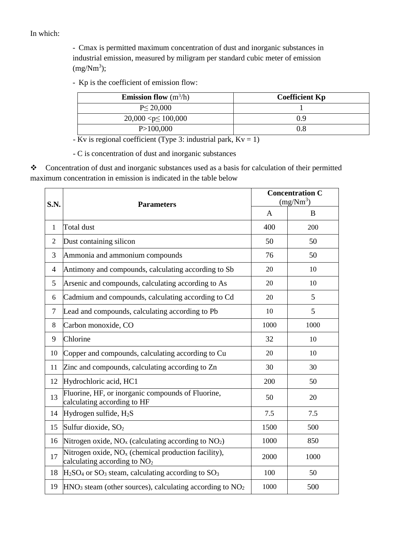In which:

- Cmax is permitted maximum concentration of dust and inorganic substances in industrial emission, measured by miligram per standard cubic meter of emission  $(mg/Nm<sup>3</sup>)$ ;

- Kp is the coefficient of emission flow:

| <b>Emission flow</b> $(m^3/h)$ | <b>Coefficient Kp</b> |
|--------------------------------|-----------------------|
| $P \leq 20,000$                |                       |
| $20,000 < p \le 100,000$       | 09                    |
| P > 100,000                    |                       |

-  $\overline{Kv}$  is regional coefficient (Type 3: industrial park,  $Kv = 1$ )

- C is concentration of dust and inorganic substances

 Concentration of dust and inorganic substances used as a basis for calculation of their permitted maximum concentration in emission is indicated in the table below

| S.N.           | <b>Parameters</b>                                                                       | <b>Concentration C</b><br>(mg/Nm <sup>3</sup> ) |      |
|----------------|-----------------------------------------------------------------------------------------|-------------------------------------------------|------|
|                |                                                                                         | A                                               | B    |
| $\mathbf{1}$   | Total dust                                                                              | 400                                             | 200  |
| $\overline{2}$ | Dust containing silicon                                                                 | 50                                              | 50   |
| 3              | Ammonia and ammonium compounds                                                          | 76                                              | 50   |
| $\overline{4}$ | Antimony and compounds, calculating according to Sb                                     | 20                                              | 10   |
| 5              | Arsenic and compounds, calculating according to As                                      | 20                                              | 10   |
| 6              | Cadmium and compounds, calculating according to Cd                                      | 20                                              | 5    |
| $\overline{7}$ | Lead and compounds, calculating according to Pb                                         | 10                                              | 5    |
| 8              | Carbon monoxide, CO                                                                     | 1000                                            | 1000 |
| 9              | Chlorine                                                                                | 32                                              | 10   |
| 10             | Copper and compounds, calculating according to Cu                                       | 20                                              | 10   |
| 11             | Zinc and compounds, calculating according to Zn                                         | 30                                              | 30   |
| 12             | Hydrochloric acid, HC1                                                                  | 200                                             | 50   |
| 13             | Fluorine, HF, or inorganic compounds of Fluorine,<br>calculating according to HF        | 50                                              | 20   |
| 14             | Hydrogen sulfide, $H_2S$                                                                | 7.5                                             | 7.5  |
| 15             | Sulfur dioxide, SO <sub>2</sub>                                                         | 1500                                            | 500  |
| 16             | Nitrogen oxide, $NO_x$ (calculating according to $NO_2$ )                               | 1000                                            | 850  |
| 17             | Nitrogen oxide, $NOx$ (chemical production facility),<br>calculating according to $NO2$ | 2000                                            | 1000 |
| 18             | $H2SO4$ or SO <sub>3</sub> steam, calculating according to SO <sub>3</sub>              | 100                                             | 50   |
| 19             | $HNO3$ steam (other sources), calculating according to $NO2$                            | 1000                                            | 500  |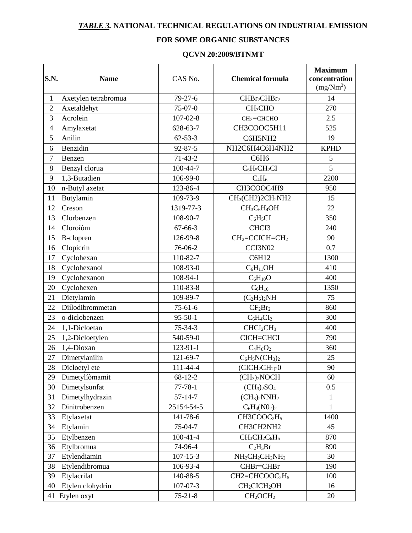# *TABLE 3.* **NATIONAL TECHNICAL REGULATIONS ON INDUSTRIAL EMISSION**

# **FOR SOME ORGANIC SUBSTANCES**

#### **QCVN 20:2009/BTNMT**

| S.N.           | <b>Name</b>          | CAS No.        | <b>Chemical formula</b>                                         | <b>Maximum</b><br>concentration<br>(mg/Nm <sup>3</sup> ) |
|----------------|----------------------|----------------|-----------------------------------------------------------------|----------------------------------------------------------|
| $\mathbf{1}$   | Axetylen tetrabromua | $79 - 27 - 6$  | CHBr <sub>2</sub> CHBr <sub>2</sub>                             | 14                                                       |
| $\overline{2}$ | Axetaldehyt          | $75-07-0$      | CH <sub>3</sub> CHO                                             | 270                                                      |
| 3              | Acrolein             | $107 - 02 - 8$ | $CH2=CHCHO$                                                     | 2.5                                                      |
| $\overline{4}$ | Amylaxetat           | 628-63-7       | CH3COOC5H11                                                     | 525                                                      |
| 5              | Anilin               | $62 - 53 - 3$  | C6H5NH2                                                         | 19                                                       |
| 6              | Benzidin             | $92 - 87 - 5$  | NH2C6H4C6H4NH2                                                  | <b>KPHD</b>                                              |
| $\tau$         | Benzen               | $71-43-2$      | C6H <sub>6</sub>                                                | 5                                                        |
| $8\,$          | Benzyl clorua        | 100-44-7       | $C_6H_5CH_2CI$                                                  | 5                                                        |
| 9              | 1,3-Butadien         | 106-99-0       | $C_4H_6$                                                        | 2200                                                     |
| 10             | n-Butyl axetat       | 123-86-4       | CH3COOC4H9                                                      | 950                                                      |
| 11             | Butylamin            | 109-73-9       | CH <sub>3</sub> (CH2)2CH <sub>2</sub> NH2                       | 15                                                       |
| 12             | Creson               | 1319-77-3      | $CH3C6H4OH$                                                     | 22                                                       |
| 13             | Clorbenzen           | 108-90-7       | $C_6H_5CI$                                                      | 350                                                      |
| 14             | Cloroíòm             | $67 - 66 - 3$  | CHCI3                                                           | 240                                                      |
| 15             | <b>B-clopren</b>     | 126-99-8       | $CH2=CCICH=CH2$                                                 | 90                                                       |
| 16             | Clopicrin            | 76-06-2        | CCI3N02                                                         | 0,7                                                      |
| 17             | Cyclohexan           | 110-82-7       | C6H12                                                           | 1300                                                     |
| 18             | Cyclohexanol         | 108-93-0       | $C_6H_{11}OH$                                                   | 410                                                      |
| 19             | Cyclohexanon         | 108-94-1       | $C_6H_{10}O$                                                    | 400                                                      |
| 20             | Cyclohexen           | 110-83-8       | $C_6H_{10}$                                                     | 1350                                                     |
| 21             | Dietylamin           | 109-89-7       | $(C_2H_5)_2NH$                                                  | 75                                                       |
| 22             | Diílodibrommetan     | $75 - 61 - 6$  | $CF_2Br_2$                                                      | 860                                                      |
| 23             | o-diclobenzen        | $95 - 50 - 1$  | $C_6H_4CI_2$                                                    | 300                                                      |
| 24             | 1,1-Dicloetan        | $75 - 34 - 3$  | CHCI <sub>2</sub> CH <sub>3</sub>                               | 400                                                      |
| 25             | 1,2-Dicloetylen      | 540-59-0       | CICH=CHCI                                                       | 790                                                      |
| 26             | 1,4-Dioxan           | 123-91-1       | $C_4H_8O_2$                                                     | 360                                                      |
| 27             | Dimetylanilin        | 121-69-7       | $C_6H_5NCH_3)_2$                                                | 25                                                       |
| 28             | Dicloetyl ete        | 111-44-4       | $(CICH2CH2)20$                                                  | 90                                                       |
| 29             | Dimetylíomamit       | $68 - 12 - 2$  | (CH <sub>3</sub> ) <sub>2</sub> NOCH                            | 60                                                       |
| 30             | Dimetylsunfat        | $77 - 78 - 1$  | $(CH_3)_2SO_4$                                                  | 0.5                                                      |
| 31             | Dimetylhydrazin      | $57 - 14 - 7$  | $(CH3)2NNH2$                                                    | $\mathbf{1}$                                             |
| 32             | Dinitrobenzen        | 25154-54-5     | $C_6H_4(N0_2)_2$                                                | $\mathbf{1}$                                             |
| 33             | Etylaxetat           | 141-78-6       | CH3COOC2H <sub>5</sub>                                          | 1400                                                     |
| 34             | Etylamin             | $75-04-7$      | CH3CH2NH2                                                       | 45                                                       |
| 35             | Etylbenzen           | $100-41-4$     | $CH3CH2C6H5$                                                    | 870                                                      |
| 36             | Etylbromua           | 74-96-4        | $C_2H_5Br$                                                      | 890                                                      |
| 37             | Etylendiamin         | $107 - 15 - 3$ | NH <sub>2</sub> CH <sub>2</sub> CH <sub>2</sub> NH <sub>2</sub> | 30                                                       |
| 38             | Etylendibromua       | 106-93-4       | CHBr=CHBr                                                       | 190                                                      |
| 39             | Etylacrilat          | 140-88-5       | $CH2=CHCOOC2H5$                                                 | 100                                                      |
| 40             | Etylen clohydrin     | $107 - 07 - 3$ | CH <sub>2</sub> CICH <sub>2</sub> OH                            | 16                                                       |
| 41             | Etylen oxyt          | $75 - 21 - 8$  | CH <sub>2</sub> OCH <sub>2</sub>                                | 20                                                       |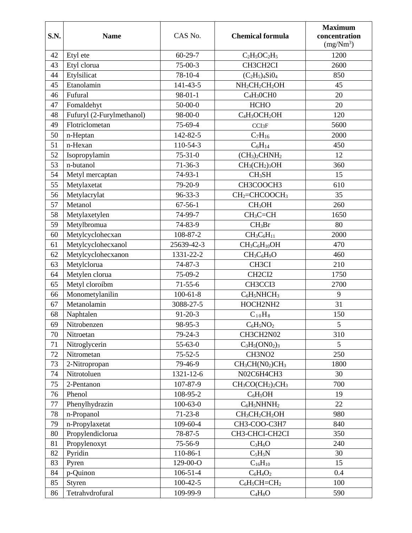| S.N. | <b>Name</b>               | CAS No.        | <b>Chemical formula</b>               | <b>Maximum</b><br>concentration<br>(mg/Nm <sup>3</sup> ) |
|------|---------------------------|----------------|---------------------------------------|----------------------------------------------------------|
| 42   | Etyl ete                  | $60 - 29 - 7$  | $C_2H_5OC_2H_5$                       | 1200                                                     |
| 43   | Etyl clorua               | $75-00-3$      | CH3CH2CI                              | 2600                                                     |
| 44   | Etylsilicat               | 78-10-4        | $(C_2H_5)_4Si0_4$                     | 850                                                      |
| 45   | Etanolamin                | 141-43-5       | $NH2CH2CH2OH$                         | 45                                                       |
| 46   | Fufural                   | $98-01-1$      | $C_4H_3OCH0$                          | 20                                                       |
| 47   | Fomaldehyt                | $50-00-0$      | <b>HCHO</b>                           | 20                                                       |
| 48   | Fufuryl (2-Furylmethanol) | 98-00-0        | $C_4H_3OCH_2OH$                       | 120                                                      |
| 49   | Flotriclometan            | 75-69-4        | CCI <sub>3</sub> F                    | 5600                                                     |
| 50   | n-Heptan                  | 142-82-5       | $C_7H_{16}$                           | 2000                                                     |
| 51   | n-Hexan                   | 110-54-3       | $C_6H_{14}$                           | 450                                                      |
| 52   | Isopropylamin             | $75 - 31 - 0$  | $(CH3)2CHNH2$                         | 12                                                       |
| 53   | n-butanol                 | $71 - 36 - 3$  | $CH3(CH2)3OH$                         | 360                                                      |
| 54   | Metyl mercaptan           | $74-93-1$      | CH <sub>3</sub> SH                    | 15                                                       |
| 55   | Metylaxetat               | 79-20-9        | CH3COOCH3                             | 610                                                      |
| 56   | Metylacrylat              | $96 - 33 - 3$  | CH <sub>2</sub> =CHCOOCH <sub>3</sub> | 35                                                       |
| 57   | Metanol                   | $67 - 56 - 1$  | CH <sub>3</sub> OH                    | 260                                                      |
| 58   | Metylaxetylen             | 74-99-7        | $CH_3C=CH$                            | 1650                                                     |
| 59   | Metylbromua               | 74-83-9        | $CH_3Br$                              | 80                                                       |
| 60   | Metylcyclohecxan          | 108-87-2       | $CH_3C_6H_{11}$                       | 2000                                                     |
| 61   | Metylcyclohecxanol        | 25639-42-3     | $CH3C6H10OH$                          | 470                                                      |
| 62   | Metylcyclohecxanon        | 1331-22-2      | $CH3C6H9O$                            | 460                                                      |
| 63   | Metylclorua               | $74 - 87 - 3$  | CH3CI                                 | 210                                                      |
| 64   | Metylen clorua            | 75-09-2        | CH <sub>2</sub> CI <sub>2</sub>       | 1750                                                     |
| 65   | Metyl cloroíbm            | $71 - 55 - 6$  | CH3CCI3                               | 2700                                                     |
| 66   | Monometylanilin           | $100 - 61 - 8$ | $C_6H_5NHCH_3$                        | 9                                                        |
| 67   | Metanolamin               | 3088-27-5      | HOCH2NH2                              | 31                                                       |
| 68   | Naphtalen                 | $91 - 20 - 3$  | $C_{10}H_8$                           | 150                                                      |
| 69   | Nitrobenzen               | 98-95-3        | $C_6H_5NO_2$                          | 5                                                        |
| 70   | Nitroetan                 | 79-24-3        | CH3CH2N02                             | 310                                                      |
| 71   | Nitroglycerin             | $55 - 63 - 0$  | $C_3H_5(ON0_2)_3$                     | 5                                                        |
| 72   | Nitrometan                | $75 - 52 - 5$  | CH3NO <sub>2</sub>                    | 250                                                      |
| 73   | 2-Nitropropan             | 79-46-9        | $CH3CH(N02)CH3$                       | 1800                                                     |
| 74   | Nitrotoluen               | 1321-12-6      | N02C6H4CH3                            | 30                                                       |
| 75   | 2-Pentanon                | 107-87-9       | $CH3CO(CH2)2CH3$                      | 700                                                      |
| 76   | Phenol                    | 108-95-2       | $C_6H_5OH$                            | 19                                                       |
| 77   | Phenylhydrazin            | $100 - 63 - 0$ | $C_6H_5NHNH_2$                        | 22                                                       |
| 78   | n-Propanol                | $71 - 23 - 8$  | $CH3CH2CH2OH$                         | 980                                                      |
| 79   | n-Propylaxetat            | 109-60-4       | CH3-COO-C3H7                          | 840                                                      |
| 80   | Propylendiclorua          | 78-87-5        | CH3-CHCI-CH2CI                        | 350                                                      |
| 81   | Propylenoxyt              | 75-56-9        | $C_3H_6O$                             | 240                                                      |
| 82   | Pyridin                   | 110-86-1       | $C_5H_5N$                             | 30                                                       |
| 83   | Pyren                     | 129-00-O       | $C_{16}H_{10}$                        | 15                                                       |
| 84   | p-Quinon                  | $106 - 51 - 4$ | $C_6H_4O_2$                           | 0.4                                                      |
| 85   | Styren                    | $100 - 42 - 5$ | $C_6H_5CH=CH_2$                       | 100                                                      |
| 86   | Tetrahvdrofural           | 109-99-9       | $C_4H_8O$                             | 590                                                      |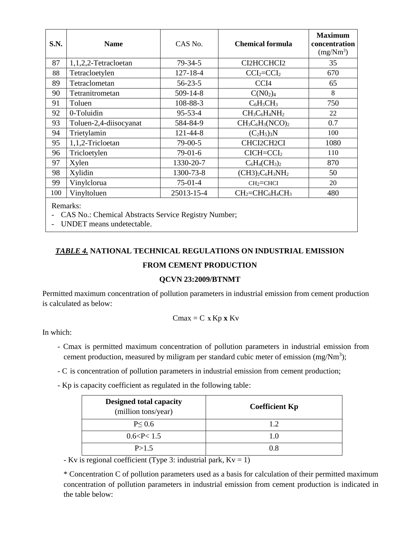| S.N.                                                               | <b>Name</b>            | CAS No.        | <b>Chemical formula</b>                                          | <b>Maximum</b><br>concentration<br>$(mg/Nm^3)$ |
|--------------------------------------------------------------------|------------------------|----------------|------------------------------------------------------------------|------------------------------------------------|
| 87                                                                 | 1,1,2,2-Tetracloetan   | $79 - 34 - 5$  | CI2HCCHCI2                                                       | 35                                             |
| 88                                                                 | Tetracloetylen         | 127-18-4       | $CCI_2 = CCI_2$                                                  | 670                                            |
| 89                                                                 | Tetraclometan          | $56 - 23 - 5$  | CCI <sub>4</sub>                                                 | 65                                             |
| 90                                                                 | Tetranitrometan        | $509 - 14 - 8$ | $C(N0_2)_4$                                                      | 8                                              |
| 91                                                                 | Toluen                 | 108-88-3       | $C_6H_5CH_3$                                                     | 750                                            |
| 92                                                                 | 0-Toluidin             | $95 - 53 - 4$  | $CH_3C_6H_4NH_2$                                                 | 22                                             |
| 93                                                                 | Toluen-2,4-diisocyanat | 584-84-9       | $CH3C6H3(NCO)2$                                                  | 0.7                                            |
| 94                                                                 | Trietylamin            | 121-44-8       | $(C_2H_5)_3N$                                                    | 100                                            |
| 95                                                                 | 1,1,2-Tricloetan       | $79-00-5$      | CHCI2CH2CI                                                       | 1080                                           |
| 96                                                                 | Tricloetylen           | $79-01-6$      | $CICH = CCI2$                                                    | 110                                            |
| 97                                                                 | Xylen                  | 1330-20-7      | $C_6H_4CH_3)_2$                                                  | 870                                            |
| 98                                                                 | Xylidin                | 1300-73-8      | $(CH3)_2C_6H_3NH_2$                                              | 50                                             |
| 99                                                                 | Vinylclorua            | $75-01-4$      | $CH2=CHCI$                                                       | 20                                             |
| 100                                                                | Vinyltoluen            | 25013-15-4     | CH <sub>2</sub> =CHC <sub>6</sub> H <sub>4</sub> CH <sub>3</sub> | 480                                            |
| Remarks:<br>- CAS No.: Chemical Abstracts Service Registry Number; |                        |                |                                                                  |                                                |

- UNDET means undetectable.

# *TABLE 4.* **NATIONAL TECHNICAL REGULATIONS ON INDUSTRIAL EMISSION FROM CEMENT PRODUCTION**

#### **QCVN 23:2009/BTNMT**

Permitted maximum concentration of pollution parameters in industrial emission from cement production is calculated as below:

$$
Cmax = C \times Kp \times Kv
$$

In which:

- Cmax is permitted maximum concentration of pollution parameters in industrial emission from cement production, measured by miligram per standard cubic meter of emission (mg/Nm<sup>3</sup>);
- C is concentration of pollution parameters in industrial emission from cement production;
- Kp is capacity coefficient as regulated in the following table:

| <b>Designed total capacity</b><br>(million tons/year) | <b>Coefficient Kp</b> |
|-------------------------------------------------------|-----------------------|
| $P \le 0.6$                                           | 1.2                   |
| 0.6 < P < 1.5                                         | - 0                   |
| P > 1.5                                               | 0.8                   |

- Kv is regional coefficient (Type 3: industrial park,  $Kv = 1$ )

\* Concentration C of pollution parameters used as a basis for calculation of their permitted maximum concentration of pollution parameters in industrial emission from cement production is indicated in the table below: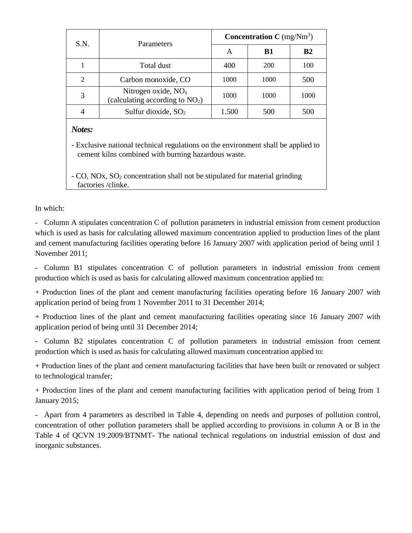| S.N.           | Parameters                                                 | <b>Concentration C</b> (mg/ $Nm^3$ ) |           |                |
|----------------|------------------------------------------------------------|--------------------------------------|-----------|----------------|
|                |                                                            | A                                    | <b>B1</b> | B <sub>2</sub> |
|                | Total dust                                                 | 400                                  | 200       | 100            |
| $\mathfrak{D}$ | Carbon monoxide, CO                                        | 1000                                 | 1000      | 500            |
| 3              | Nitrogen oxide, $NOx$<br>(calculating according to $NO2$ ) | 1000                                 | 1000      | 1000           |
|                | Sulfur dioxide, $SO2$                                      | 1.500                                | 500       | 500            |
| Notes:         |                                                            |                                      |           |                |

*-* Exclusive national technical regulations on the environment shall be applied to cement kilns combined with burning hazardous waste.

- CO, NOx, SO<sup>2</sup> concentration shall not be stipulated for material grinding factories /clinke.

In which:

- Column A stipulates concentration C of pollution parameters in industrial emission from cement production which is used as basis for calculating allowed maximum concentration applied to production lines of the plant and cement manufacturing facilities operating before 16 January 2007 with application period of being until 1 November 2011;

- Column B1 stipulates concentration C of pollution parameters in industrial emission from cement production which is used as basis for calculating allowed maximum concentration applied to:

+ Production lines of the plant and cement manufacturing facilities operating before 16 January 2007 with application period of being from 1 November 2011 to 31 December 2014;

+ Production lines of the plant and cement manufacturing facilities operating since 16 January 2007 with application period of being until 31 December 2014;

- Column B2 stipulates concentration C of pollution parameters in industrial emission from cement production which is used as basis for calculating allowed maximum concentration applied to:

+ Production lines of the plant and cement manufacturing facilities that have been built or renovated or subject to technological transfer;

+ Production lines of the plant and cement manufacturing facilities with application period of being from 1 January 2015;

- Apart from 4 parameters as described in Table 4, depending on needs and purposes of pollution control, concentration of other pollution parameters shall be applied according to provisions in column A or B in the Table 4 of QCVN 19:2009/BTNMT- The national technical regulations on industrial emission of dust and inorganic substances.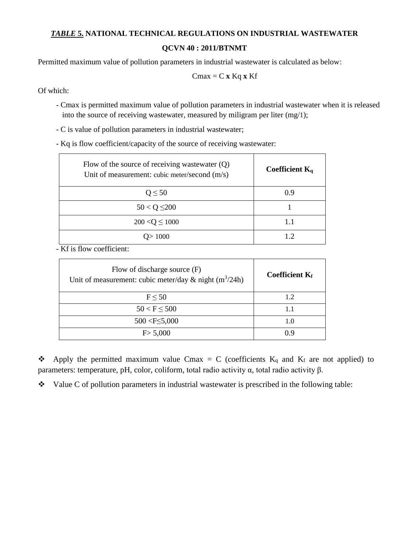# *TABLE* **5. NATIONAL TECHNICAL REGULATIONS ON INDUSTRIAL WASTEWATER**

**QCVN 40 : 2011/BTNMT**

Permitted maximum value of pollution parameters in industrial wastewater is calculated as below:

$$
Cmax = C \mathbf{x} Kq \mathbf{x} Kf
$$

Of which:

- Cmax is permitted maximum value of pollution parameters in industrial wastewater when it is released into the source of receiving wastewater, measured by miligram per liter (mg/1);
- C is value of pollution parameters in industrial wastewater;

- Kq is flow coefficient/capacity of the source of receiving wastewater:

| Flow of the source of receiving was tewater $(Q)$<br>Unit of measurement: cubic meter/second (m/s) | Coefficient $K_a$ |
|----------------------------------------------------------------------------------------------------|-------------------|
| $Q \leq 50$                                                                                        | 0.9               |
| $50 < Q \leq 200$                                                                                  |                   |
| $200 < Q \le 1000$                                                                                 | 1.1               |
| 1000                                                                                               |                   |

- Kf is flow coefficient:

| Flow of discharge source $(F)$<br>Unit of measurement: cubic meter/day & night $(m^3/24h)$ | <b>Coefficient Kf</b> |
|--------------------------------------------------------------------------------------------|-----------------------|
| $F \leq 50$                                                                                | 1.2                   |
| $50 < F \le 500$                                                                           | 1.1                   |
| $500 < F \leq 5,000$                                                                       | 1.0                   |
| F > 5,000                                                                                  |                       |

 $\bullet\bullet$  Apply the permitted maximum value Cmax = C (coefficients K<sub>q</sub> and K<sub>f</sub> are not applied) to parameters: temperature, pH, color, coliform, total radio activity α, total radio activity β.

 $\bullet$  Value C of pollution parameters in industrial wastewater is prescribed in the following table: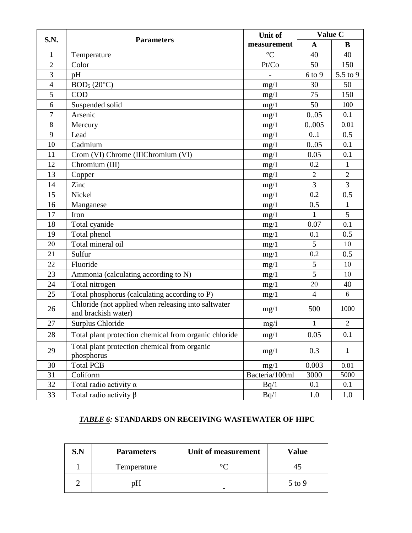| S.N.           |                                                                            | Unit of         | Value C        |                |
|----------------|----------------------------------------------------------------------------|-----------------|----------------|----------------|
|                | <b>Parameters</b>                                                          | measurement     | $\mathbf{A}$   | B              |
| $\mathbf{1}$   | Temperature                                                                | $\rm ^{\circ}C$ | 40             | 40             |
| $\overline{2}$ | Color                                                                      | Pt/Co           | 50             | 150            |
| 3              | pH                                                                         |                 | 6 to 9         | 5.5 to 9       |
| $\overline{4}$ | BOD <sub>5</sub> (20°C)                                                    | mg/1            | 30             | 50             |
| 5              | <b>COD</b>                                                                 | mg/1            | 75             | 150            |
| 6              | Suspended solid                                                            | mg/1            | 50             | 100            |
| 7              | Arsenic                                                                    | mg/1            | 0.05           | 0.1            |
| 8              | Mercury                                                                    | mg/1            | 0.005          | 0.01           |
| 9              | Lead                                                                       | mg/1            | 0.1            | 0.5            |
| 10             | Cadmium                                                                    | mg/1            | 0.05           | 0.1            |
| 11             | Crom (VI) Chrome (IIIChromium (VI)                                         | mg/1            | 0.05           | 0.1            |
| 12             | Chromium (III)                                                             | mg/1            | 0.2            | $\mathbf{1}$   |
| 13             | Copper                                                                     | mg/1            | $\overline{2}$ | $\sqrt{2}$     |
| 14             | Zinc                                                                       | mg/1            | 3              | $\overline{3}$ |
| 15             | Nickel                                                                     | mg/1            | 0.2            | 0.5            |
| 16             | Manganese                                                                  | mg/1            | 0.5            | $\mathbf{1}$   |
| 17             | Iron                                                                       | mg/1            | $\mathbf{1}$   | 5              |
| 18             | Total cyanide                                                              | mg/1            | 0.07           | 0.1            |
| 19             | Total phenol                                                               | mg/1            | 0.1            | 0.5            |
| 20             | Total mineral oil                                                          | mg/1            | 5              | 10             |
| 21             | Sulfur                                                                     | mg/1            | 0.2            | 0.5            |
| 22             | Fluoride                                                                   | mg/1            | 5              | 10             |
| 23             | Ammonia (calculating according to N)                                       | mg/1            | 5              | 10             |
| 24             | Total nitrogen                                                             | mg/1            | 20             | 40             |
| 25             | Total phosphorus (calculating according to P)                              | mg/1            | $\overline{4}$ | 6              |
| 26             | Chloride (not applied when releasing into saltwater<br>and brackish water) | mg/1            | 500            | 1000           |
| 27             | Surplus Chloride                                                           | mg/i            | $\mathbf{1}$   | $\sqrt{2}$     |
| 28             | Total plant protection chemical from organic chloride                      | mg/1            | 0.05           | 0.1            |
| 29             | Total plant protection chemical from organic<br>phosphorus                 | mg/1            | 0.3            | 1              |
| 30             | <b>Total PCB</b>                                                           | mg/1            | 0.003          | 0.01           |
| 31             | Coliform                                                                   | Bacteria/100ml  | 3000           | 5000           |
| 32             | Total radio activity $\alpha$                                              | Bq/1            | 0.1            | 0.1            |
| 33             | Total radio activity $\beta$                                               | Bq/1            | 1.0            | 1.0            |

# *TABLE 6:* **STANDARDS ON RECEIVING WASTEWATER OF HIPC**

| S.N | Unit of measurement<br><b>Parameters</b> |  | Value    |
|-----|------------------------------------------|--|----------|
|     | Temperature                              |  |          |
|     | חכ                                       |  | $5$ to 9 |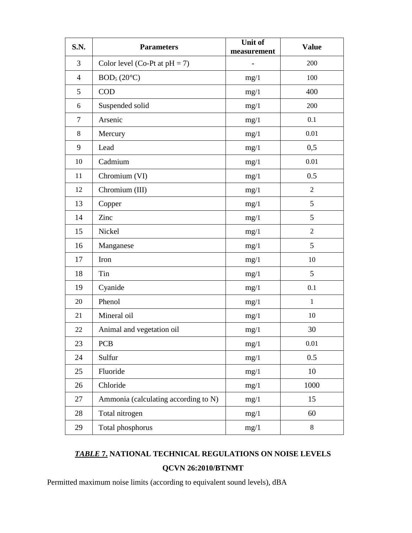| <b>S.N.</b>    | <b>Parameters</b>                    | Unit of<br>measurement | <b>Value</b>   |
|----------------|--------------------------------------|------------------------|----------------|
| 3              | Color level (Co-Pt at $pH = 7$ )     |                        | 200            |
| $\overline{4}$ | BOD <sub>5</sub> (20°C)              | mg/1                   | 100            |
| 5              | <b>COD</b>                           | mg/1                   | 400            |
| 6              | Suspended solid                      | mg/1                   | 200            |
| $\tau$         | Arsenic                              | mg/1                   | 0.1            |
| 8              | Mercury                              | mg/1                   | 0.01           |
| 9              | Lead                                 | mg/1                   | 0,5            |
| 10             | Cadmium                              | mg/1                   | 0.01           |
| 11             | Chromium (VI)                        | mg/1                   | 0.5            |
| 12             | Chromium (III)                       | mg/1                   | $\overline{2}$ |
| 13             | Copper                               | mg/1                   | 5              |
| 14             | Zinc                                 | mg/1                   | 5              |
| 15             | Nickel                               | mg/1                   | $\overline{2}$ |
| 16             | Manganese                            | mg/1                   | 5              |
| 17             | Iron                                 | mg/1                   | 10             |
| 18             | Tin                                  | mg/1                   | 5              |
| 19             | Cyanide                              | mg/1                   | 0.1            |
| 20             | Phenol                               | mg/1                   | $\mathbf{1}$   |
| 21             | Mineral oil                          | mg/1                   | 10             |
| 22             | Animal and vegetation oil            | mg/1                   | 30             |
| 23             | <b>PCB</b>                           | mg/1                   | 0.01           |
| 24             | Sulfur                               | mg/1                   | 0.5            |
| 25             | Fluoride                             | mg/1                   | 10             |
| 26             | Chloride                             | mg/1                   | 1000           |
| 27             | Ammonia (calculating according to N) | mg/1                   | 15             |
| 28             | Total nitrogen                       | mg/1                   | 60             |
| 29             | Total phosphorus                     | mg/1                   | $8\,$          |

# *TABLE* **7. NATIONAL TECHNICAL REGULATIONS ON NOISE LEVELS QCVN 26:2010/BTNMT**

Permitted maximum noise limits (according to equivalent sound levels), dBA